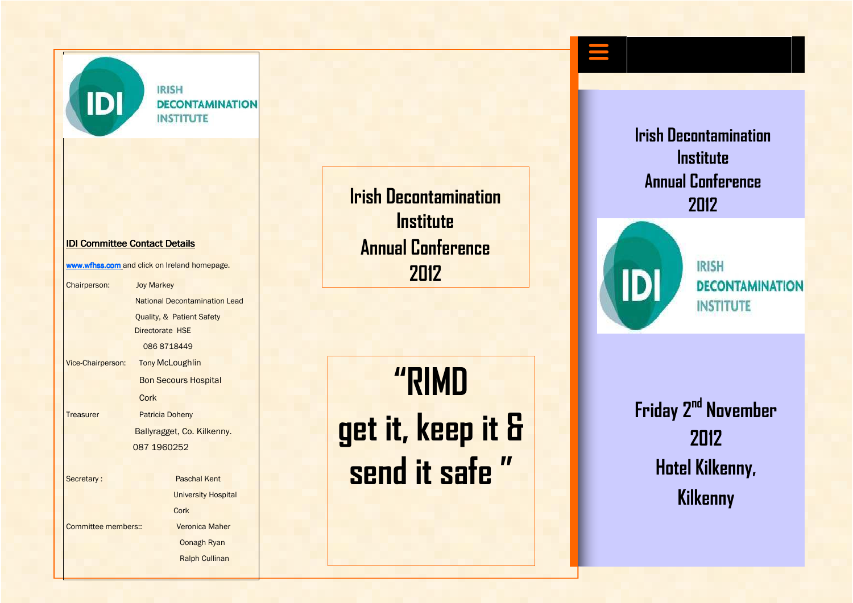**IDI** 

**IRISH DECONTAMINATION INSTITUTE** 

#### IDI Committee Contact Details

www.wfhss.com and click on Ireland homepage.

| Chairperson:             | <b>Joy Markey</b>      |                                      |
|--------------------------|------------------------|--------------------------------------|
|                          |                        | <b>National Decontamination Lead</b> |
|                          |                        | <b>Quality, &amp; Patient Safety</b> |
|                          | Directorate HSE        |                                      |
|                          | 0868718449             |                                      |
| <b>Vice-Chairperson:</b> |                        | <b>Tony McLoughlin</b>               |
|                          |                        | <b>Bon Secours Hospital</b>          |
|                          | Cork                   |                                      |
| Treasurer                | <b>Patricia Doheny</b> |                                      |
|                          |                        | Ballyragget, Co. Kilkenny.           |
|                          | 087 1960252            |                                      |
|                          |                        |                                      |
| Secretary:               |                        | <b>Paschal Kent</b>                  |
|                          |                        | <b>University Hospital</b>           |
|                          |                        | Cork                                 |
| Committee members::      |                        | <b>Veronica Maher</b>                |
|                          |                        | <b>Oonagh Ryan</b>                   |
|                          |                        | <b>Ralph Cullinan</b>                |

**Irish Decontamination Institute Annual Conference 2012** 

**"RIMD get it, keep it & send it safe "** 

**Irish Decontamination Institute Annual Conference 2012** 



**IRISH** *DECONTAMINATION* **INSTITUTE** 

**Friday 2nd November 2012 Hotel Kilkenny, Kilkenny**